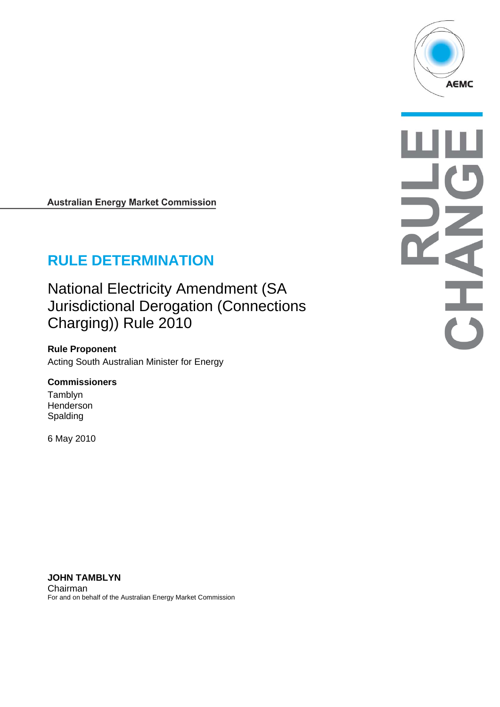

**Australian Energy Market Commission** 

# **RULE DETERMINATION**

National Electricity Amendment (SA Jurisdictional Derogation (Connections Charging)) Rule 2010

**Rule Proponent**  Acting South Australian Minister for Energy

#### **Commissioners**

Tamblyn Henderson Spalding

6 May 2010

A

**JOHN TAMBLYN**  Chairman For and on behalf of the Australian Energy Market Commission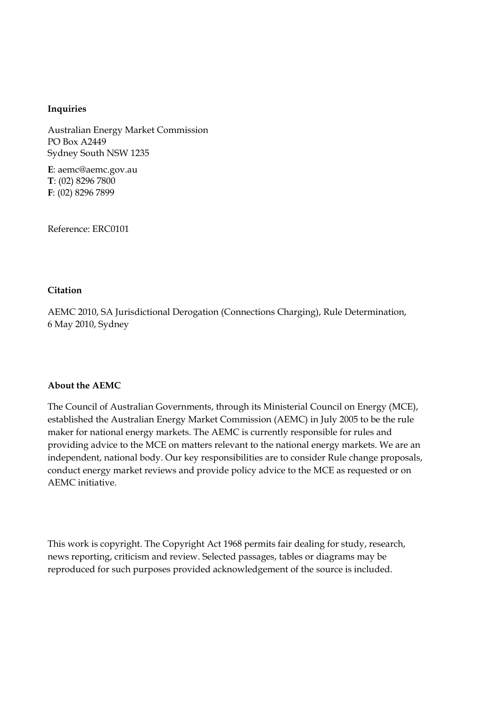#### **Inquiries**

Australian Energy Market Commission PO Box A2449 Sydney South NSW 1235

**E**: aemc@aemc.gov.au **T**: (02) 8296 7800 **F**: (02) 8296 7899

Reference: ERC0101

#### **Citation**

AEMC 2010, SA Jurisdictional Derogation (Connections Charging), Rule Determination, 6 May 2010, Sydney

#### **About the AEMC**

The Council of Australian Governments, through its Ministerial Council on Energy (MCE), established the Australian Energy Market Commission (AEMC) in July 2005 to be the rule maker for national energy markets. The AEMC is currently responsible for rules and providing advice to the MCE on matters relevant to the national energy markets. We are an independent, national body. Our key responsibilities are to consider Rule change proposals, conduct energy market reviews and provide policy advice to the MCE as requested or on AEMC initiative.

This work is copyright. The Copyright Act 1968 permits fair dealing for study, research, news reporting, criticism and review. Selected passages, tables or diagrams may be reproduced for such purposes provided acknowledgement of the source is included.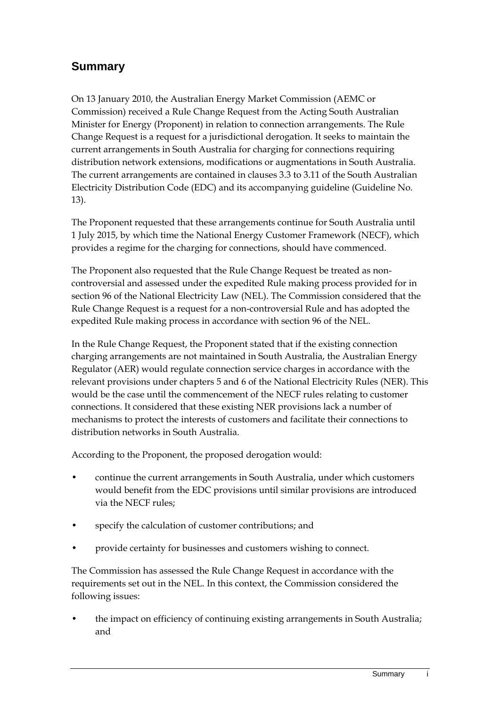## **Summary**

On 13 January 2010, the Australian Energy Market Commission (AEMC or Commission) received a Rule Change Request from the Acting South Australian Minister for Energy (Proponent) in relation to connection arrangements. The Rule Change Request is a request for a jurisdictional derogation. It seeks to maintain the current arrangements in South Australia for charging for connections requiring distribution network extensions, modifications or augmentations in South Australia. The current arrangements are contained in clauses 3.3 to 3.11 of the South Australian Electricity Distribution Code (EDC) and its accompanying guideline (Guideline No. 13).

The Proponent requested that these arrangements continue for South Australia until 1 July 2015, by which time the National Energy Customer Framework (NECF), which provides a regime for the charging for connections, should have commenced.

The Proponent also requested that the Rule Change Request be treated as noncontroversial and assessed under the expedited Rule making process provided for in section 96 of the National Electricity Law (NEL). The Commission considered that the Rule Change Request is a request for a non-controversial Rule and has adopted the expedited Rule making process in accordance with section 96 of the NEL.

In the Rule Change Request, the Proponent stated that if the existing connection charging arrangements are not maintained in South Australia, the Australian Energy Regulator (AER) would regulate connection service charges in accordance with the relevant provisions under chapters 5 and 6 of the National Electricity Rules (NER). This would be the case until the commencement of the NECF rules relating to customer connections. It considered that these existing NER provisions lack a number of mechanisms to protect the interests of customers and facilitate their connections to distribution networks in South Australia.

According to the Proponent, the proposed derogation would:

- continue the current arrangements in South Australia, under which customers would benefit from the EDC provisions until similar provisions are introduced via the NECF rules;
- specify the calculation of customer contributions; and
- provide certainty for businesses and customers wishing to connect.

The Commission has assessed the Rule Change Request in accordance with the requirements set out in the NEL. In this context, the Commission considered the following issues:

• the impact on efficiency of continuing existing arrangements in South Australia; and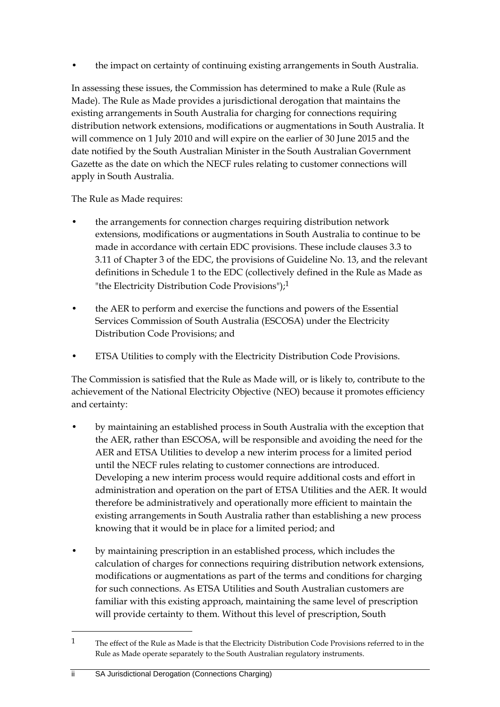• the impact on certainty of continuing existing arrangements in South Australia.

In assessing these issues, the Commission has determined to make a Rule (Rule as Made). The Rule as Made provides a jurisdictional derogation that maintains the existing arrangements in South Australia for charging for connections requiring distribution network extensions, modifications or augmentations in South Australia. It will commence on 1 July 2010 and will expire on the earlier of 30 June 2015 and the date notified by the South Australian Minister in the South Australian Government Gazette as the date on which the NECF rules relating to customer connections will apply in South Australia.

The Rule as Made requires:

- the arrangements for connection charges requiring distribution network extensions, modifications or augmentations in South Australia to continue to be made in accordance with certain EDC provisions. These include clauses 3.3 to 3.11 of Chapter 3 of the EDC, the provisions of Guideline No. 13, and the relevant definitions in Schedule 1 to the EDC (collectively defined in the Rule as Made as "the Electricity Distribution Code Provisions");1
- the AER to perform and exercise the functions and powers of the Essential Services Commission of South Australia (ESCOSA) under the Electricity Distribution Code Provisions; and
- ETSA Utilities to comply with the Electricity Distribution Code Provisions.

The Commission is satisfied that the Rule as Made will, or is likely to, contribute to the achievement of the National Electricity Objective (NEO) because it promotes efficiency and certainty:

- by maintaining an established process in South Australia with the exception that the AER, rather than ESCOSA, will be responsible and avoiding the need for the AER and ETSA Utilities to develop a new interim process for a limited period until the NECF rules relating to customer connections are introduced. Developing a new interim process would require additional costs and effort in administration and operation on the part of ETSA Utilities and the AER. It would therefore be administratively and operationally more efficient to maintain the existing arrangements in South Australia rather than establishing a new process knowing that it would be in place for a limited period; and
- by maintaining prescription in an established process, which includes the calculation of charges for connections requiring distribution network extensions, modifications or augmentations as part of the terms and conditions for charging for such connections. As ETSA Utilities and South Australian customers are familiar with this existing approach, maintaining the same level of prescription will provide certainty to them. Without this level of prescription, South

<sup>1</sup> The effect of the Rule as Made is that the Electricity Distribution Code Provisions referred to in the Rule as Made operate separately to the South Australian regulatory instruments.

ii SA Jurisdictional Derogation (Connections Charging)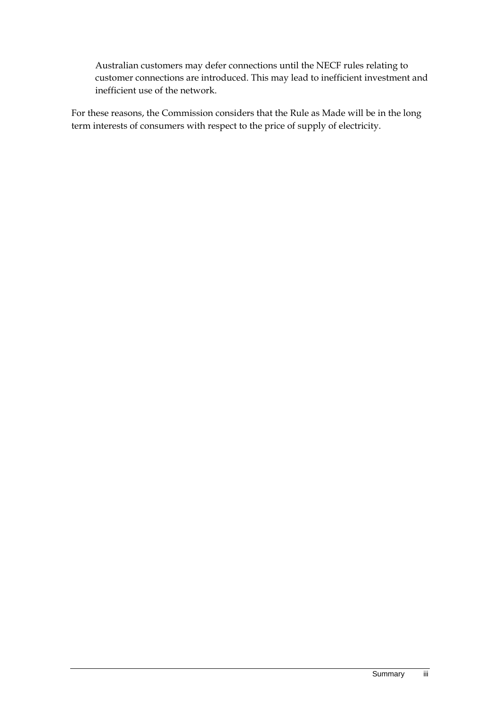Australian customers may defer connections until the NECF rules relating to customer connections are introduced. This may lead to inefficient investment and inefficient use of the network.

For these reasons, the Commission considers that the Rule as Made will be in the long term interests of consumers with respect to the price of supply of electricity.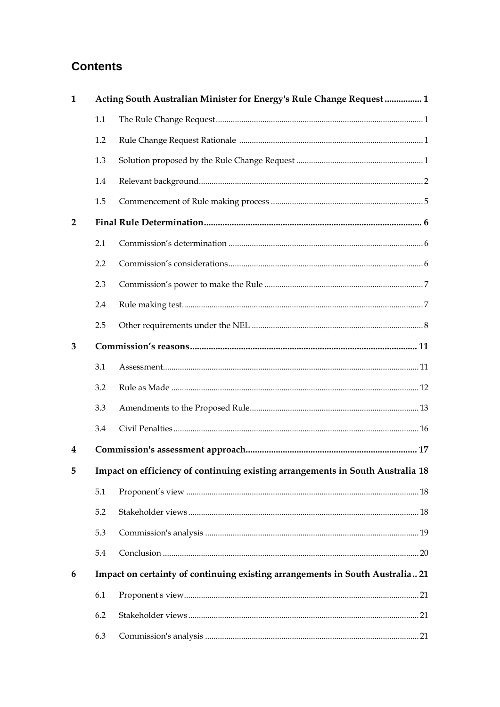## **Contents**

| 1              |                                                                                | Acting South Australian Minister for Energy's Rule Change Request  1 |  |  |  |  |
|----------------|--------------------------------------------------------------------------------|----------------------------------------------------------------------|--|--|--|--|
|                | 1.1                                                                            |                                                                      |  |  |  |  |
|                | 1.2                                                                            |                                                                      |  |  |  |  |
|                | 1.3                                                                            |                                                                      |  |  |  |  |
|                | 1.4                                                                            |                                                                      |  |  |  |  |
|                | 1.5                                                                            |                                                                      |  |  |  |  |
| $\overline{2}$ |                                                                                |                                                                      |  |  |  |  |
|                | 2.1                                                                            |                                                                      |  |  |  |  |
|                | 2.2                                                                            |                                                                      |  |  |  |  |
|                | 2.3                                                                            |                                                                      |  |  |  |  |
|                | 2.4                                                                            |                                                                      |  |  |  |  |
|                | 2.5                                                                            |                                                                      |  |  |  |  |
| 3              |                                                                                |                                                                      |  |  |  |  |
|                | 3.1                                                                            |                                                                      |  |  |  |  |
|                | 3.2                                                                            |                                                                      |  |  |  |  |
|                | 3.3                                                                            |                                                                      |  |  |  |  |
|                | 3.4                                                                            |                                                                      |  |  |  |  |
| 4              |                                                                                |                                                                      |  |  |  |  |
| 5              | Impact on efficiency of continuing existing arrangements in South Australia 18 |                                                                      |  |  |  |  |
|                | 5.1                                                                            |                                                                      |  |  |  |  |
|                | 5.2                                                                            |                                                                      |  |  |  |  |
|                | 5.3                                                                            |                                                                      |  |  |  |  |
|                | 5.4                                                                            |                                                                      |  |  |  |  |
| 6              | Impact on certainty of continuing existing arrangements in South Australia 21  |                                                                      |  |  |  |  |
|                | 6.1                                                                            |                                                                      |  |  |  |  |
|                | 6.2                                                                            |                                                                      |  |  |  |  |
|                | 6.3                                                                            |                                                                      |  |  |  |  |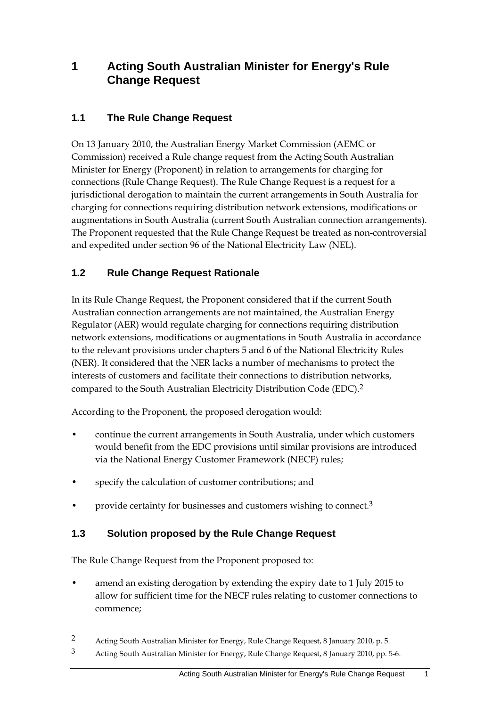### **1 Acting South Australian Minister for Energy's Rule Change Request**

### **1.1 The Rule Change Request**

On 13 January 2010, the Australian Energy Market Commission (AEMC or Commission) received a Rule change request from the Acting South Australian Minister for Energy (Proponent) in relation to arrangements for charging for connections (Rule Change Request). The Rule Change Request is a request for a jurisdictional derogation to maintain the current arrangements in South Australia for charging for connections requiring distribution network extensions, modifications or augmentations in South Australia (current South Australian connection arrangements). The Proponent requested that the Rule Change Request be treated as non-controversial and expedited under section 96 of the National Electricity Law (NEL).

### **1.2 Rule Change Request Rationale**

In its Rule Change Request, the Proponent considered that if the current South Australian connection arrangements are not maintained, the Australian Energy Regulator (AER) would regulate charging for connections requiring distribution network extensions, modifications or augmentations in South Australia in accordance to the relevant provisions under chapters 5 and 6 of the National Electricity Rules (NER). It considered that the NER lacks a number of mechanisms to protect the interests of customers and facilitate their connections to distribution networks, compared to the South Australian Electricity Distribution Code (EDC).2

According to the Proponent, the proposed derogation would:

- continue the current arrangements in South Australia, under which customers would benefit from the EDC provisions until similar provisions are introduced via the National Energy Customer Framework (NECF) rules;
- specify the calculation of customer contributions; and
- provide certainty for businesses and customers wishing to connect.<sup>3</sup>

#### **1.3 Solution proposed by the Rule Change Request**

The Rule Change Request from the Proponent proposed to:

1

• amend an existing derogation by extending the expiry date to 1 July 2015 to allow for sufficient time for the NECF rules relating to customer connections to commence;

<sup>2</sup> Acting South Australian Minister for Energy, Rule Change Request, 8 January 2010, p. 5.

<sup>3</sup> Acting South Australian Minister for Energy, Rule Change Request, 8 January 2010, pp. 5-6.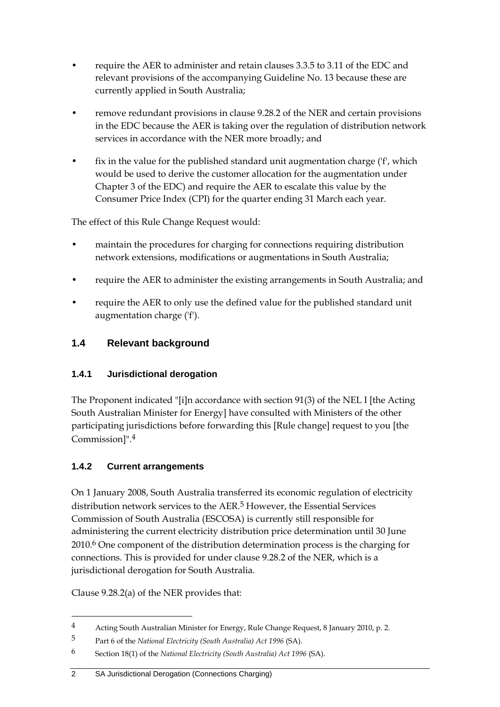- require the AER to administer and retain clauses 3.3.5 to 3.11 of the EDC and relevant provisions of the accompanying Guideline No. 13 because these are currently applied in South Australia;
- remove redundant provisions in clause 9.28.2 of the NER and certain provisions in the EDC because the AER is taking over the regulation of distribution network services in accordance with the NER more broadly; and
- fix in the value for the published standard unit augmentation charge ('f', which would be used to derive the customer allocation for the augmentation under Chapter 3 of the EDC) and require the AER to escalate this value by the Consumer Price Index (CPI) for the quarter ending 31 March each year.

The effect of this Rule Change Request would:

- maintain the procedures for charging for connections requiring distribution network extensions, modifications or augmentations in South Australia;
- require the AER to administer the existing arrangements in South Australia; and
- require the AER to only use the defined value for the published standard unit augmentation charge ('f').

#### **1.4 Relevant background**

#### **1.4.1 Jurisdictional derogation**

The Proponent indicated "[i]n accordance with section 91(3) of the NEL I [the Acting South Australian Minister for Energy] have consulted with Ministers of the other participating jurisdictions before forwarding this [Rule change] request to you [the Commission]".4

#### **1.4.2 Current arrangements**

On 1 January 2008, South Australia transferred its economic regulation of electricity distribution network services to the AER.<sup>5</sup> However, the Essential Services Commission of South Australia (ESCOSA) is currently still responsible for administering the current electricity distribution price determination until 30 June 2010.6 One component of the distribution determination process is the charging for connections. This is provided for under clause 9.28.2 of the NER, which is a jurisdictional derogation for South Australia.

Clause 9.28.2(a) of the NER provides that:

<u>.</u>

<sup>4</sup> Acting South Australian Minister for Energy, Rule Change Request, 8 January 2010, p. 2.

<sup>5</sup> Part 6 of the *National Electricity (South Australia) Act 1996* (SA).

<sup>6</sup> Section 18(1) of the *National Electricity (South Australia) Act 1996* (SA).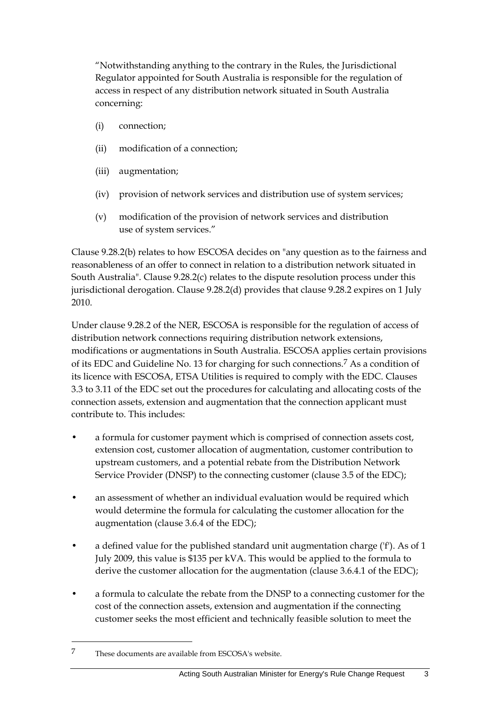"Notwithstanding anything to the contrary in the Rules, the Jurisdictional Regulator appointed for South Australia is responsible for the regulation of access in respect of any distribution network situated in South Australia concerning:

- (i) connection;
- (ii) modification of a connection;
- (iii) augmentation;
- (iv) provision of network services and distribution use of system services;
- (v) modification of the provision of network services and distribution use of system services."

Clause 9.28.2(b) relates to how ESCOSA decides on "any question as to the fairness and reasonableness of an offer to connect in relation to a distribution network situated in South Australia". Clause 9.28.2(c) relates to the dispute resolution process under this jurisdictional derogation. Clause 9.28.2(d) provides that clause 9.28.2 expires on 1 July 2010.

Under clause 9.28.2 of the NER, ESCOSA is responsible for the regulation of access of distribution network connections requiring distribution network extensions, modifications or augmentations in South Australia. ESCOSA applies certain provisions of its EDC and Guideline No. 13 for charging for such connections.7 As a condition of its licence with ESCOSA, ETSA Utilities is required to comply with the EDC. Clauses 3.3 to 3.11 of the EDC set out the procedures for calculating and allocating costs of the connection assets, extension and augmentation that the connection applicant must contribute to. This includes:

- a formula for customer payment which is comprised of connection assets cost, extension cost, customer allocation of augmentation, customer contribution to upstream customers, and a potential rebate from the Distribution Network Service Provider (DNSP) to the connecting customer (clause 3.5 of the EDC);
- an assessment of whether an individual evaluation would be required which would determine the formula for calculating the customer allocation for the augmentation (clause 3.6.4 of the EDC);
- a defined value for the published standard unit augmentation charge ('f'). As of 1 July 2009, this value is \$135 per kVA. This would be applied to the formula to derive the customer allocation for the augmentation (clause 3.6.4.1 of the EDC);
- a formula to calculate the rebate from the DNSP to a connecting customer for the cost of the connection assets, extension and augmentation if the connecting customer seeks the most efficient and technically feasible solution to meet the

<sup>7</sup> These documents are available from ESCOSA's website.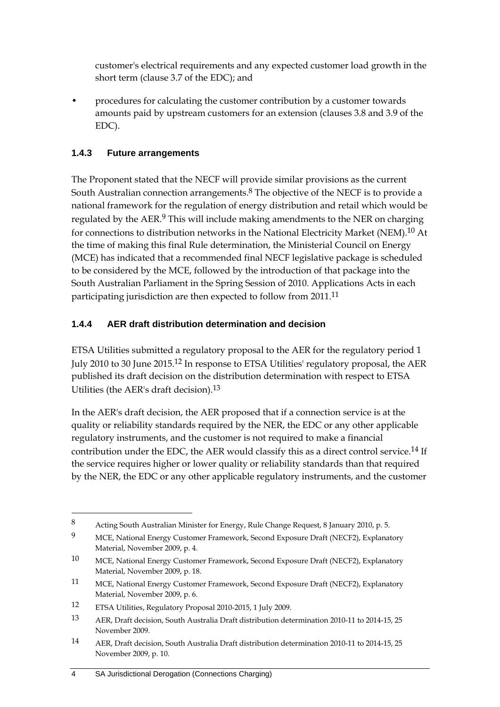customer's electrical requirements and any expected customer load growth in the short term (clause 3.7 of the EDC); and

• procedures for calculating the customer contribution by a customer towards amounts paid by upstream customers for an extension (clauses 3.8 and 3.9 of the EDC).

#### **1.4.3 Future arrangements**

The Proponent stated that the NECF will provide similar provisions as the current South Australian connection arrangements.8 The objective of the NECF is to provide a national framework for the regulation of energy distribution and retail which would be regulated by the AER.<sup>9</sup> This will include making amendments to the NER on charging for connections to distribution networks in the National Electricity Market (NEM).10 At the time of making this final Rule determination, the Ministerial Council on Energy (MCE) has indicated that a recommended final NECF legislative package is scheduled to be considered by the MCE, followed by the introduction of that package into the South Australian Parliament in the Spring Session of 2010. Applications Acts in each participating jurisdiction are then expected to follow from 2011.<sup>11</sup>

#### **1.4.4 AER draft distribution determination and decision**

ETSA Utilities submitted a regulatory proposal to the AER for the regulatory period 1 July 2010 to 30 June 2015.12 In response to ETSA Utilities' regulatory proposal, the AER published its draft decision on the distribution determination with respect to ETSA Utilities (the AER's draft decision).13

In the AER's draft decision, the AER proposed that if a connection service is at the quality or reliability standards required by the NER, the EDC or any other applicable regulatory instruments, and the customer is not required to make a financial contribution under the EDC, the AER would classify this as a direct control service.<sup>14</sup> If the service requires higher or lower quality or reliability standards than that required by the NER, the EDC or any other applicable regulatory instruments, and the customer

<sup>8</sup> Acting South Australian Minister for Energy, Rule Change Request, 8 January 2010, p. 5.

<sup>9</sup> MCE, National Energy Customer Framework, Second Exposure Draft (NECF2), Explanatory Material, November 2009, p. 4.

<sup>10</sup> MCE, National Energy Customer Framework, Second Exposure Draft (NECF2), Explanatory Material, November 2009, p. 18.

<sup>11</sup> MCE, National Energy Customer Framework, Second Exposure Draft (NECF2), Explanatory Material, November 2009, p. 6.

<sup>12</sup> ETSA Utilities, Regulatory Proposal 2010-2015, 1 July 2009.

<sup>13</sup> AER, Draft decision, South Australia Draft distribution determination 2010-11 to 2014-15, 25 November 2009.

<sup>14</sup> AER, Draft decision, South Australia Draft distribution determination 2010-11 to 2014-15, 25 November 2009, p. 10.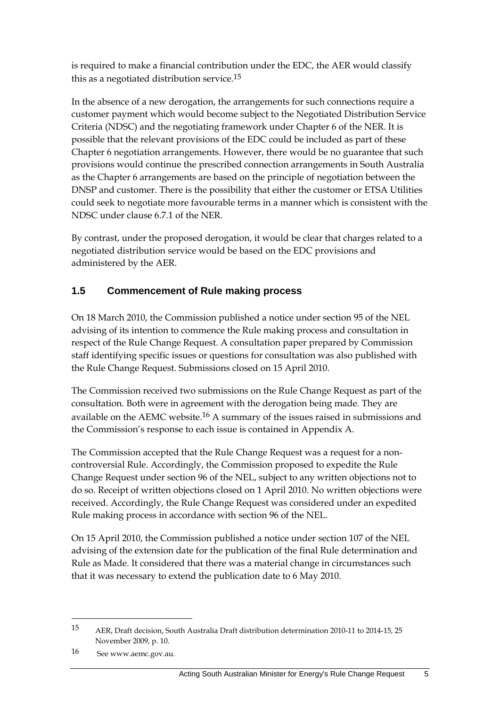is required to make a financial contribution under the EDC, the AER would classify this as a negotiated distribution service.<sup>15</sup>

In the absence of a new derogation, the arrangements for such connections require a customer payment which would become subject to the Negotiated Distribution Service Criteria (NDSC) and the negotiating framework under Chapter 6 of the NER. It is possible that the relevant provisions of the EDC could be included as part of these Chapter 6 negotiation arrangements. However, there would be no guarantee that such provisions would continue the prescribed connection arrangements in South Australia as the Chapter 6 arrangements are based on the principle of negotiation between the DNSP and customer. There is the possibility that either the customer or ETSA Utilities could seek to negotiate more favourable terms in a manner which is consistent with the NDSC under clause 6.7.1 of the NER.

By contrast, under the proposed derogation, it would be clear that charges related to a negotiated distribution service would be based on the EDC provisions and administered by the AER.

#### **1.5 Commencement of Rule making process**

On 18 March 2010, the Commission published a notice under section 95 of the NEL advising of its intention to commence the Rule making process and consultation in respect of the Rule Change Request. A consultation paper prepared by Commission staff identifying specific issues or questions for consultation was also published with the Rule Change Request. Submissions closed on 15 April 2010.

The Commission received two submissions on the Rule Change Request as part of the consultation. Both were in agreement with the derogation being made. They are available on the AEMC website.<sup>16</sup> A summary of the issues raised in submissions and the Commission's response to each issue is contained in Appendix A.

The Commission accepted that the Rule Change Request was a request for a noncontroversial Rule. Accordingly, the Commission proposed to expedite the Rule Change Request under section 96 of the NEL, subject to any written objections not to do so. Receipt of written objections closed on 1 April 2010. No written objections were received. Accordingly, the Rule Change Request was considered under an expedited Rule making process in accordance with section 96 of the NEL.

On 15 April 2010, the Commission published a notice under section 107 of the NEL advising of the extension date for the publication of the final Rule determination and Rule as Made. It considered that there was a material change in circumstances such that it was necessary to extend the publication date to 6 May 2010.

<u>.</u>

<sup>15</sup> AER, Draft decision, South Australia Draft distribution determination 2010-11 to 2014-15, 25 November 2009, p. 10.

<sup>16</sup> See www.aemc.gov.au.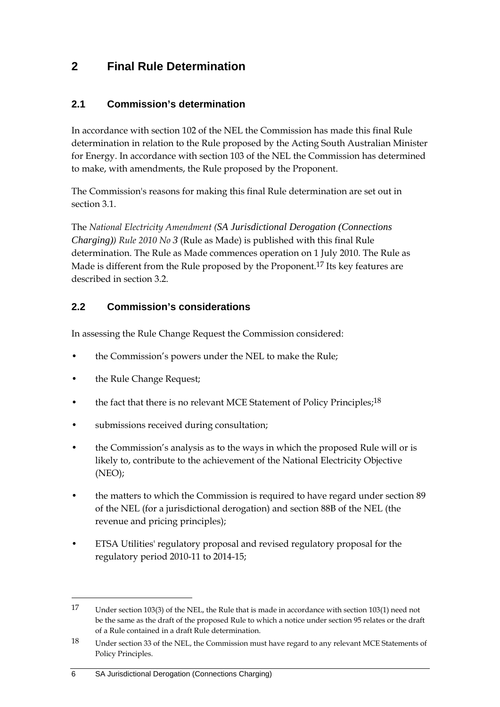### **2 Final Rule Determination**

#### **2.1 Commission's determination**

In accordance with section 102 of the NEL the Commission has made this final Rule determination in relation to the Rule proposed by the Acting South Australian Minister for Energy. In accordance with section 103 of the NEL the Commission has determined to make, with amendments, the Rule proposed by the Proponent.

The Commission's reasons for making this final Rule determination are set out in section 3.1.

The *National Electricity Amendment (SA Jurisdictional Derogation (Connections Charging)) Rule 2010 No 3* (Rule as Made) is published with this final Rule determination. The Rule as Made commences operation on 1 July 2010. The Rule as Made is different from the Rule proposed by the Proponent.<sup>17</sup> Its key features are described in section 3.2.

#### **2.2 Commission's considerations**

In assessing the Rule Change Request the Commission considered:

- the Commission's powers under the NEL to make the Rule;
- the Rule Change Request;

- the fact that there is no relevant MCE Statement of Policy Principles;<sup>18</sup>
- submissions received during consultation;
- the Commission's analysis as to the ways in which the proposed Rule will or is likely to, contribute to the achievement of the National Electricity Objective (NEO);
- the matters to which the Commission is required to have regard under section 89 of the NEL (for a jurisdictional derogation) and section 88B of the NEL (the revenue and pricing principles);
- ETSA Utilities' regulatory proposal and revised regulatory proposal for the regulatory period 2010-11 to 2014-15;

<sup>17</sup> Under section 103(3) of the NEL, the Rule that is made in accordance with section 103(1) need not be the same as the draft of the proposed Rule to which a notice under section 95 relates or the draft of a Rule contained in a draft Rule determination.

<sup>18</sup> Under section 33 of the NEL, the Commission must have regard to any relevant MCE Statements of Policy Principles.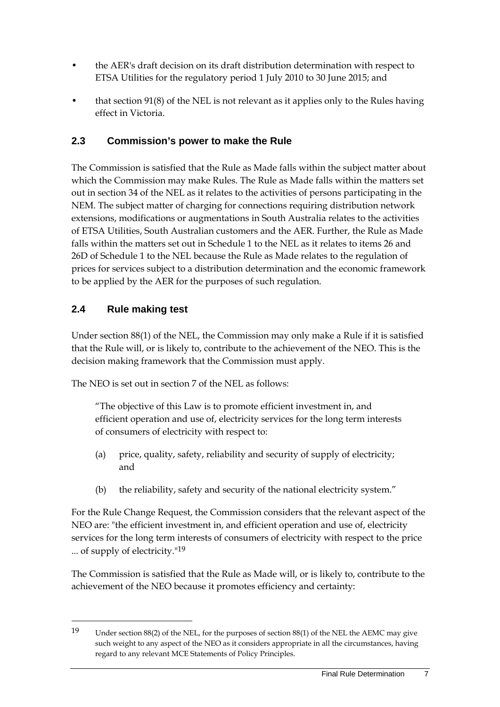- the AER's draft decision on its draft distribution determination with respect to ETSA Utilities for the regulatory period 1 July 2010 to 30 June 2015; and
- that section 91(8) of the NEL is not relevant as it applies only to the Rules having effect in Victoria.

#### **2.3 Commission's power to make the Rule**

The Commission is satisfied that the Rule as Made falls within the subject matter about which the Commission may make Rules. The Rule as Made falls within the matters set out in section 34 of the NEL as it relates to the activities of persons participating in the NEM. The subject matter of charging for connections requiring distribution network extensions, modifications or augmentations in South Australia relates to the activities of ETSA Utilities, South Australian customers and the AER. Further, the Rule as Made falls within the matters set out in Schedule 1 to the NEL as it relates to items 26 and 26D of Schedule 1 to the NEL because the Rule as Made relates to the regulation of prices for services subject to a distribution determination and the economic framework to be applied by the AER for the purposes of such regulation.

#### **2.4 Rule making test**

<u>.</u>

Under section 88(1) of the NEL, the Commission may only make a Rule if it is satisfied that the Rule will, or is likely to, contribute to the achievement of the NEO. This is the decision making framework that the Commission must apply.

The NEO is set out in section 7 of the NEL as follows:

"The objective of this Law is to promote efficient investment in, and efficient operation and use of, electricity services for the long term interests of consumers of electricity with respect to:

- (a) price, quality, safety, reliability and security of supply of electricity; and
- (b) the reliability, safety and security of the national electricity system."

For the Rule Change Request, the Commission considers that the relevant aspect of the NEO are: "the efficient investment in, and efficient operation and use of, electricity services for the long term interests of consumers of electricity with respect to the price ... of supply of electricity."19

The Commission is satisfied that the Rule as Made will, or is likely to, contribute to the achievement of the NEO because it promotes efficiency and certainty:

<sup>19</sup> Under section 88(2) of the NEL, for the purposes of section 88(1) of the NEL the AEMC may give such weight to any aspect of the NEO as it considers appropriate in all the circumstances, having regard to any relevant MCE Statements of Policy Principles.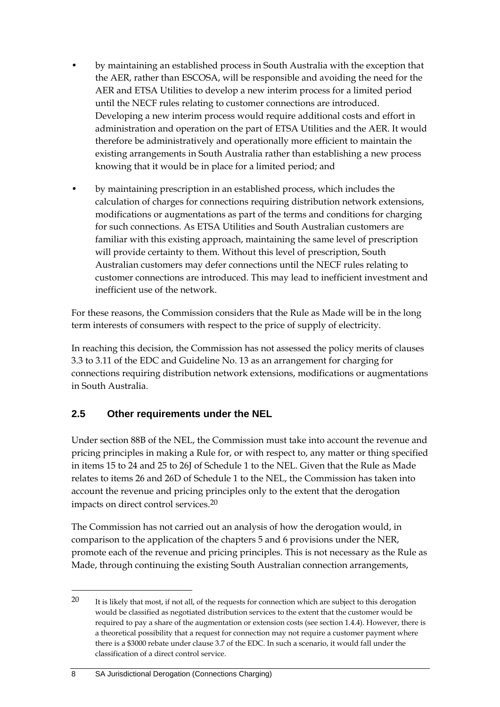- by maintaining an established process in South Australia with the exception that the AER, rather than ESCOSA, will be responsible and avoiding the need for the AER and ETSA Utilities to develop a new interim process for a limited period until the NECF rules relating to customer connections are introduced. Developing a new interim process would require additional costs and effort in administration and operation on the part of ETSA Utilities and the AER. It would therefore be administratively and operationally more efficient to maintain the existing arrangements in South Australia rather than establishing a new process knowing that it would be in place for a limited period; and
- by maintaining prescription in an established process, which includes the calculation of charges for connections requiring distribution network extensions, modifications or augmentations as part of the terms and conditions for charging for such connections. As ETSA Utilities and South Australian customers are familiar with this existing approach, maintaining the same level of prescription will provide certainty to them. Without this level of prescription, South Australian customers may defer connections until the NECF rules relating to customer connections are introduced. This may lead to inefficient investment and inefficient use of the network.

For these reasons, the Commission considers that the Rule as Made will be in the long term interests of consumers with respect to the price of supply of electricity.

In reaching this decision, the Commission has not assessed the policy merits of clauses 3.3 to 3.11 of the EDC and Guideline No. 13 as an arrangement for charging for connections requiring distribution network extensions, modifications or augmentations in South Australia.

#### **2.5 Other requirements under the NEL**

Under section 88B of the NEL, the Commission must take into account the revenue and pricing principles in making a Rule for, or with respect to, any matter or thing specified in items 15 to 24 and 25 to 26J of Schedule 1 to the NEL. Given that the Rule as Made relates to items 26 and 26D of Schedule 1 to the NEL, the Commission has taken into account the revenue and pricing principles only to the extent that the derogation impacts on direct control services.20

The Commission has not carried out an analysis of how the derogation would, in comparison to the application of the chapters 5 and 6 provisions under the NER, promote each of the revenue and pricing principles. This is not necessary as the Rule as Made, through continuing the existing South Australian connection arrangements,

<sup>20</sup> It is likely that most, if not all, of the requests for connection which are subject to this derogation would be classified as negotiated distribution services to the extent that the customer would be required to pay a share of the augmentation or extension costs (see section 1.4.4). However, there is a theoretical possibility that a request for connection may not require a customer payment where there is a \$3000 rebate under clause 3.7 of the EDC. In such a scenario, it would fall under the classification of a direct control service.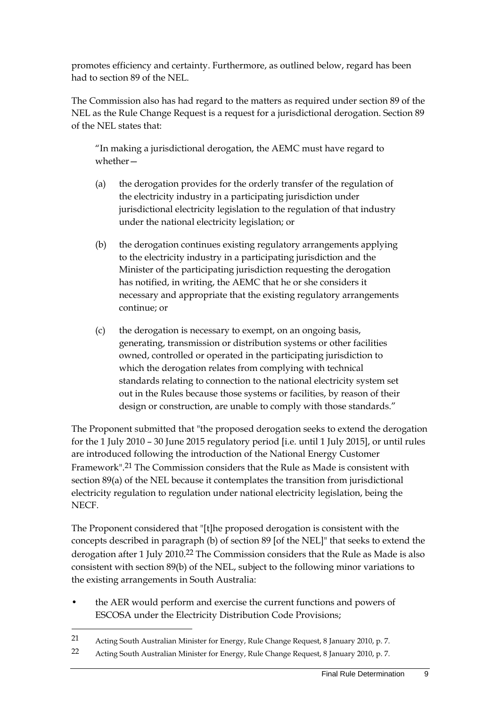promotes efficiency and certainty. Furthermore, as outlined below, regard has been had to section 89 of the NEL.

The Commission also has had regard to the matters as required under section 89 of the NEL as the Rule Change Request is a request for a jurisdictional derogation. Section 89 of the NEL states that:

"In making a jurisdictional derogation, the AEMC must have regard to whether—

- (a) the derogation provides for the orderly transfer of the regulation of the electricity industry in a participating jurisdiction under jurisdictional electricity legislation to the regulation of that industry under the national electricity legislation; or
- (b) the derogation continues existing regulatory arrangements applying to the electricity industry in a participating jurisdiction and the Minister of the participating jurisdiction requesting the derogation has notified, in writing, the AEMC that he or she considers it necessary and appropriate that the existing regulatory arrangements continue; or
- (c) the derogation is necessary to exempt, on an ongoing basis, generating, transmission or distribution systems or other facilities owned, controlled or operated in the participating jurisdiction to which the derogation relates from complying with technical standards relating to connection to the national electricity system set out in the Rules because those systems or facilities, by reason of their design or construction, are unable to comply with those standards."

The Proponent submitted that "the proposed derogation seeks to extend the derogation for the 1 July 2010 – 30 June 2015 regulatory period [i.e. until 1 July 2015], or until rules are introduced following the introduction of the National Energy Customer Framework".21 The Commission considers that the Rule as Made is consistent with section 89(a) of the NEL because it contemplates the transition from jurisdictional electricity regulation to regulation under national electricity legislation, being the NECF.

The Proponent considered that "[t]he proposed derogation is consistent with the concepts described in paragraph (b) of section 89 [of the NEL]" that seeks to extend the derogation after 1 July 2010.<sup>22</sup> The Commission considers that the Rule as Made is also consistent with section 89(b) of the NEL, subject to the following minor variations to the existing arrangements in South Australia:

• the AER would perform and exercise the current functions and powers of ESCOSA under the Electricity Distribution Code Provisions;

21 Acting South Australian Minister for Energy, Rule Change Request, 8 January 2010, p. 7.

<sup>22</sup> Acting South Australian Minister for Energy, Rule Change Request, 8 January 2010, p. 7.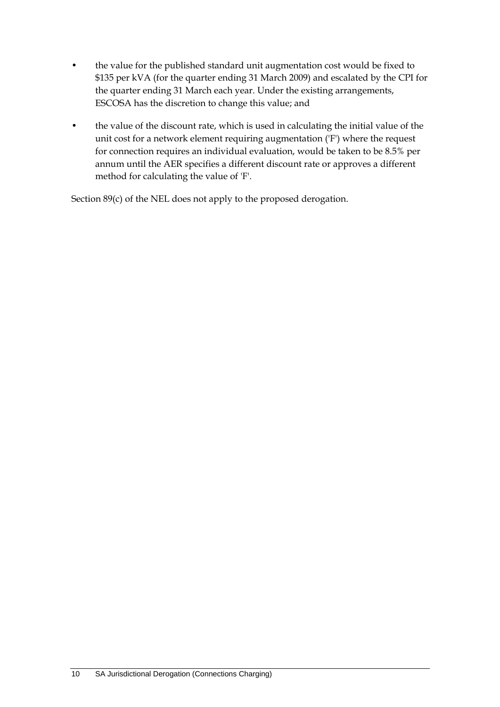- the value for the published standard unit augmentation cost would be fixed to \$135 per kVA (for the quarter ending 31 March 2009) and escalated by the CPI for the quarter ending 31 March each year. Under the existing arrangements, ESCOSA has the discretion to change this value; and
- the value of the discount rate, which is used in calculating the initial value of the unit cost for a network element requiring augmentation ('F') where the request for connection requires an individual evaluation, would be taken to be 8.5% per annum until the AER specifies a different discount rate or approves a different method for calculating the value of 'F'.

Section 89(c) of the NEL does not apply to the proposed derogation.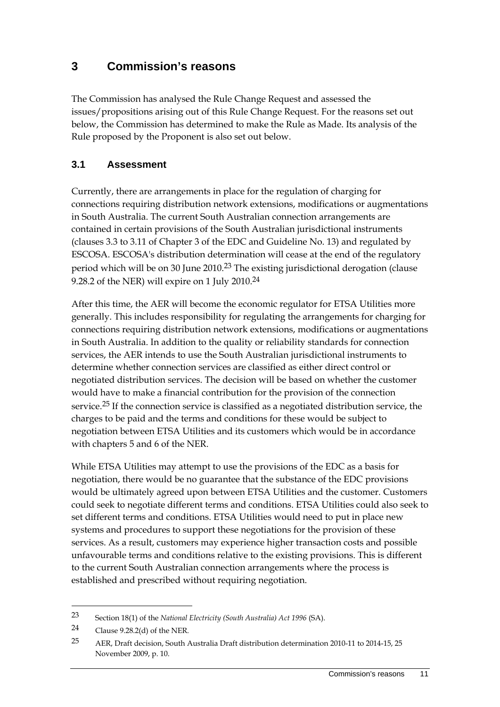### **3 Commission's reasons**

The Commission has analysed the Rule Change Request and assessed the issues/propositions arising out of this Rule Change Request. For the reasons set out below, the Commission has determined to make the Rule as Made. Its analysis of the Rule proposed by the Proponent is also set out below.

#### **3.1 Assessment**

Currently, there are arrangements in place for the regulation of charging for connections requiring distribution network extensions, modifications or augmentations in South Australia. The current South Australian connection arrangements are contained in certain provisions of the South Australian jurisdictional instruments (clauses 3.3 to 3.11 of Chapter 3 of the EDC and Guideline No. 13) and regulated by ESCOSA. ESCOSA's distribution determination will cease at the end of the regulatory period which will be on 30 June 2010.<sup>23</sup> The existing jurisdictional derogation (clause 9.28.2 of the NER) will expire on 1 July 2010.24

After this time, the AER will become the economic regulator for ETSA Utilities more generally. This includes responsibility for regulating the arrangements for charging for connections requiring distribution network extensions, modifications or augmentations in South Australia. In addition to the quality or reliability standards for connection services, the AER intends to use the South Australian jurisdictional instruments to determine whether connection services are classified as either direct control or negotiated distribution services. The decision will be based on whether the customer would have to make a financial contribution for the provision of the connection service.<sup>25</sup> If the connection service is classified as a negotiated distribution service, the charges to be paid and the terms and conditions for these would be subject to negotiation between ETSA Utilities and its customers which would be in accordance with chapters 5 and 6 of the NER.

While ETSA Utilities may attempt to use the provisions of the EDC as a basis for negotiation, there would be no guarantee that the substance of the EDC provisions would be ultimately agreed upon between ETSA Utilities and the customer. Customers could seek to negotiate different terms and conditions. ETSA Utilities could also seek to set different terms and conditions. ETSA Utilities would need to put in place new systems and procedures to support these negotiations for the provision of these services. As a result, customers may experience higher transaction costs and possible unfavourable terms and conditions relative to the existing provisions. This is different to the current South Australian connection arrangements where the process is established and prescribed without requiring negotiation.

<sup>23</sup> Section 18(1) of the *National Electricity (South Australia) Act 1996* (SA).

<sup>24</sup> Clause 9.28.2(d) of the NER.

<sup>25</sup> AER, Draft decision, South Australia Draft distribution determination 2010-11 to 2014-15, 25 November 2009, p. 10.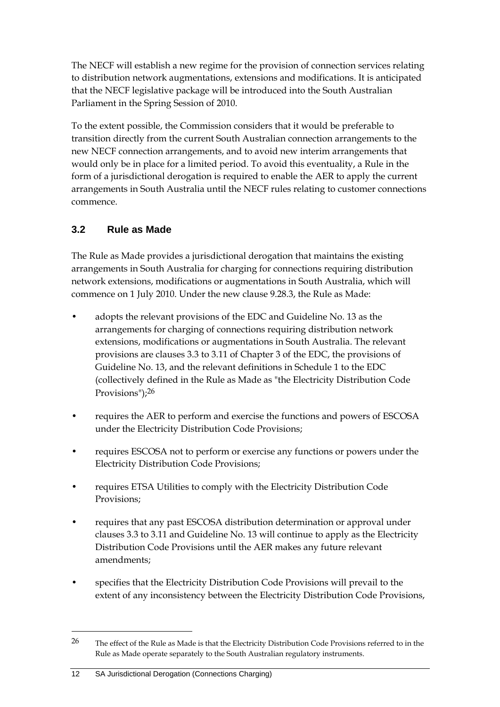The NECF will establish a new regime for the provision of connection services relating to distribution network augmentations, extensions and modifications. It is anticipated that the NECF legislative package will be introduced into the South Australian Parliament in the Spring Session of 2010.

To the extent possible, the Commission considers that it would be preferable to transition directly from the current South Australian connection arrangements to the new NECF connection arrangements, and to avoid new interim arrangements that would only be in place for a limited period. To avoid this eventuality, a Rule in the form of a jurisdictional derogation is required to enable the AER to apply the current arrangements in South Australia until the NECF rules relating to customer connections commence.

#### **3.2 Rule as Made**

The Rule as Made provides a jurisdictional derogation that maintains the existing arrangements in South Australia for charging for connections requiring distribution network extensions, modifications or augmentations in South Australia, which will commence on 1 July 2010. Under the new clause 9.28.3, the Rule as Made:

- adopts the relevant provisions of the EDC and Guideline No. 13 as the arrangements for charging of connections requiring distribution network extensions, modifications or augmentations in South Australia. The relevant provisions are clauses 3.3 to 3.11 of Chapter 3 of the EDC, the provisions of Guideline No. 13, and the relevant definitions in Schedule 1 to the EDC (collectively defined in the Rule as Made as "the Electricity Distribution Code Provisions");26
- requires the AER to perform and exercise the functions and powers of ESCOSA under the Electricity Distribution Code Provisions;
- requires ESCOSA not to perform or exercise any functions or powers under the Electricity Distribution Code Provisions;
- requires ETSA Utilities to comply with the Electricity Distribution Code Provisions;
- requires that any past ESCOSA distribution determination or approval under clauses 3.3 to 3.11 and Guideline No. 13 will continue to apply as the Electricity Distribution Code Provisions until the AER makes any future relevant amendments;
- specifies that the Electricity Distribution Code Provisions will prevail to the extent of any inconsistency between the Electricity Distribution Code Provisions,

<sup>26</sup> The effect of the Rule as Made is that the Electricity Distribution Code Provisions referred to in the Rule as Made operate separately to the South Australian regulatory instruments.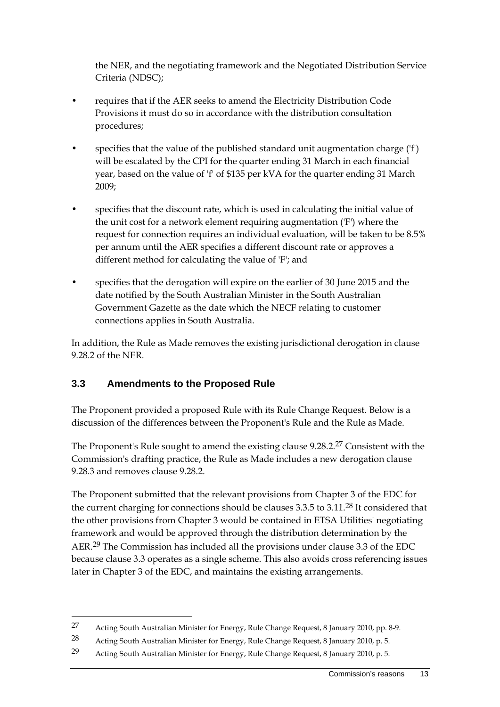the NER, and the negotiating framework and the Negotiated Distribution Service Criteria (NDSC);

- requires that if the AER seeks to amend the Electricity Distribution Code Provisions it must do so in accordance with the distribution consultation procedures;
- specifies that the value of the published standard unit augmentation charge ('f') will be escalated by the CPI for the quarter ending 31 March in each financial year, based on the value of 'f' of \$135 per kVA for the quarter ending 31 March 2009;
- specifies that the discount rate, which is used in calculating the initial value of the unit cost for a network element requiring augmentation ('F') where the request for connection requires an individual evaluation, will be taken to be 8.5% per annum until the AER specifies a different discount rate or approves a different method for calculating the value of 'F'; and
- specifies that the derogation will expire on the earlier of 30 June 2015 and the date notified by the South Australian Minister in the South Australian Government Gazette as the date which the NECF relating to customer connections applies in South Australia.

In addition, the Rule as Made removes the existing jurisdictional derogation in clause 9.28.2 of the NER.

#### **3.3 Amendments to the Proposed Rule**

<u>.</u>

The Proponent provided a proposed Rule with its Rule Change Request. Below is a discussion of the differences between the Proponent's Rule and the Rule as Made.

The Proponent's Rule sought to amend the existing clause 9.28.2.27 Consistent with the Commission's drafting practice, the Rule as Made includes a new derogation clause 9.28.3 and removes clause 9.28.2.

The Proponent submitted that the relevant provisions from Chapter 3 of the EDC for the current charging for connections should be clauses 3.3.5 to 3.11.<sup>28</sup> It considered that the other provisions from Chapter 3 would be contained in ETSA Utilities' negotiating framework and would be approved through the distribution determination by the AER.29 The Commission has included all the provisions under clause 3.3 of the EDC because clause 3.3 operates as a single scheme. This also avoids cross referencing issues later in Chapter 3 of the EDC, and maintains the existing arrangements.

<sup>27</sup> Acting South Australian Minister for Energy, Rule Change Request, 8 January 2010, pp. 8-9.

<sup>28</sup> Acting South Australian Minister for Energy, Rule Change Request, 8 January 2010, p. 5.

<sup>29</sup> Acting South Australian Minister for Energy, Rule Change Request, 8 January 2010, p. 5.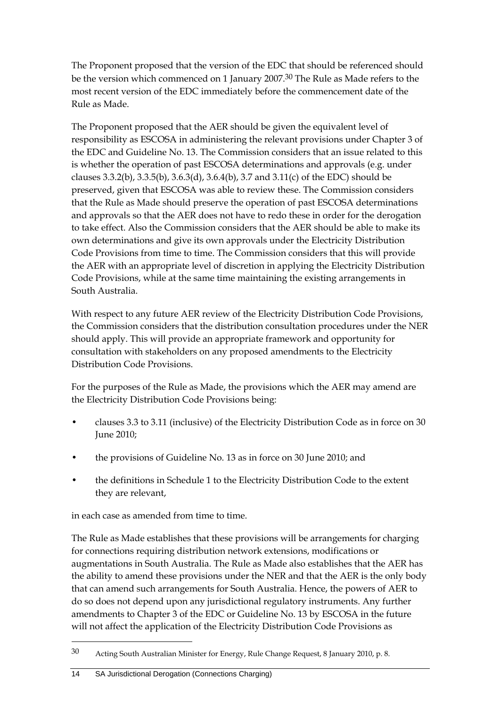The Proponent proposed that the version of the EDC that should be referenced should be the version which commenced on 1 January 2007.30 The Rule as Made refers to the most recent version of the EDC immediately before the commencement date of the Rule as Made.

The Proponent proposed that the AER should be given the equivalent level of responsibility as ESCOSA in administering the relevant provisions under Chapter 3 of the EDC and Guideline No. 13. The Commission considers that an issue related to this is whether the operation of past ESCOSA determinations and approvals (e.g. under clauses 3.3.2(b), 3.3.5(b), 3.6.3(d), 3.6.4(b), 3.7 and 3.11(c) of the EDC) should be preserved, given that ESCOSA was able to review these. The Commission considers that the Rule as Made should preserve the operation of past ESCOSA determinations and approvals so that the AER does not have to redo these in order for the derogation to take effect. Also the Commission considers that the AER should be able to make its own determinations and give its own approvals under the Electricity Distribution Code Provisions from time to time. The Commission considers that this will provide the AER with an appropriate level of discretion in applying the Electricity Distribution Code Provisions, while at the same time maintaining the existing arrangements in South Australia.

With respect to any future AER review of the Electricity Distribution Code Provisions, the Commission considers that the distribution consultation procedures under the NER should apply. This will provide an appropriate framework and opportunity for consultation with stakeholders on any proposed amendments to the Electricity Distribution Code Provisions.

For the purposes of the Rule as Made, the provisions which the AER may amend are the Electricity Distribution Code Provisions being:

- clauses 3.3 to 3.11 (inclusive) of the Electricity Distribution Code as in force on 30 June 2010;
- the provisions of Guideline No. 13 as in force on 30 June 2010; and
- the definitions in Schedule 1 to the Electricity Distribution Code to the extent they are relevant,

in each case as amended from time to time.

The Rule as Made establishes that these provisions will be arrangements for charging for connections requiring distribution network extensions, modifications or augmentations in South Australia. The Rule as Made also establishes that the AER has the ability to amend these provisions under the NER and that the AER is the only body that can amend such arrangements for South Australia. Hence, the powers of AER to do so does not depend upon any jurisdictional regulatory instruments. Any further amendments to Chapter 3 of the EDC or Guideline No. 13 by ESCOSA in the future will not affect the application of the Electricity Distribution Code Provisions as

<sup>30</sup> Acting South Australian Minister for Energy, Rule Change Request, 8 January 2010, p. 8.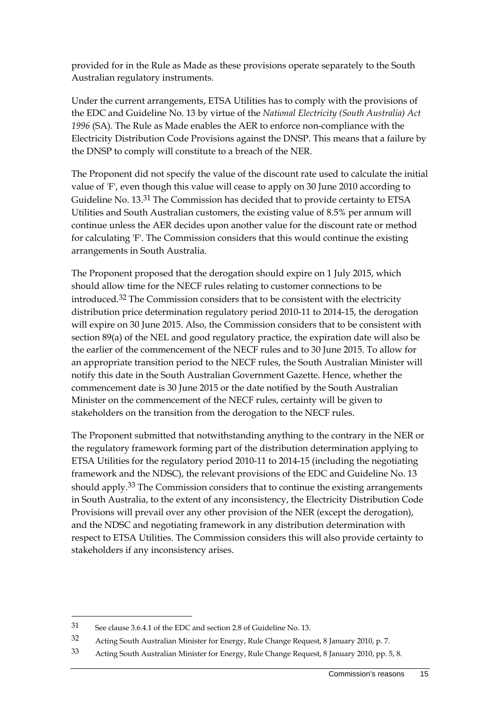provided for in the Rule as Made as these provisions operate separately to the South Australian regulatory instruments.

Under the current arrangements, ETSA Utilities has to comply with the provisions of the EDC and Guideline No. 13 by virtue of the *National Electricity (South Australia) Act 1996* (SA). The Rule as Made enables the AER to enforce non-compliance with the Electricity Distribution Code Provisions against the DNSP. This means that a failure by the DNSP to comply will constitute to a breach of the NER.

The Proponent did not specify the value of the discount rate used to calculate the initial value of 'F', even though this value will cease to apply on 30 June 2010 according to Guideline No. 13.31 The Commission has decided that to provide certainty to ETSA Utilities and South Australian customers, the existing value of 8.5% per annum will continue unless the AER decides upon another value for the discount rate or method for calculating 'F'. The Commission considers that this would continue the existing arrangements in South Australia.

The Proponent proposed that the derogation should expire on 1 July 2015, which should allow time for the NECF rules relating to customer connections to be introduced.32 The Commission considers that to be consistent with the electricity distribution price determination regulatory period 2010-11 to 2014-15, the derogation will expire on 30 June 2015. Also, the Commission considers that to be consistent with section 89(a) of the NEL and good regulatory practice, the expiration date will also be the earlier of the commencement of the NECF rules and to 30 June 2015. To allow for an appropriate transition period to the NECF rules, the South Australian Minister will notify this date in the South Australian Government Gazette. Hence, whether the commencement date is 30 June 2015 or the date notified by the South Australian Minister on the commencement of the NECF rules, certainty will be given to stakeholders on the transition from the derogation to the NECF rules.

The Proponent submitted that notwithstanding anything to the contrary in the NER or the regulatory framework forming part of the distribution determination applying to ETSA Utilities for the regulatory period 2010-11 to 2014-15 (including the negotiating framework and the NDSC), the relevant provisions of the EDC and Guideline No. 13 should apply.33 The Commission considers that to continue the existing arrangements in South Australia, to the extent of any inconsistency, the Electricity Distribution Code Provisions will prevail over any other provision of the NER (except the derogation), and the NDSC and negotiating framework in any distribution determination with respect to ETSA Utilities. The Commission considers this will also provide certainty to stakeholders if any inconsistency arises.

<u>.</u>

<sup>31</sup> See clause 3.6.4.1 of the EDC and section 2.8 of Guideline No. 13.

<sup>32</sup> Acting South Australian Minister for Energy, Rule Change Request, 8 January 2010, p. 7.

<sup>33</sup> Acting South Australian Minister for Energy, Rule Change Request, 8 January 2010, pp. 5, 8.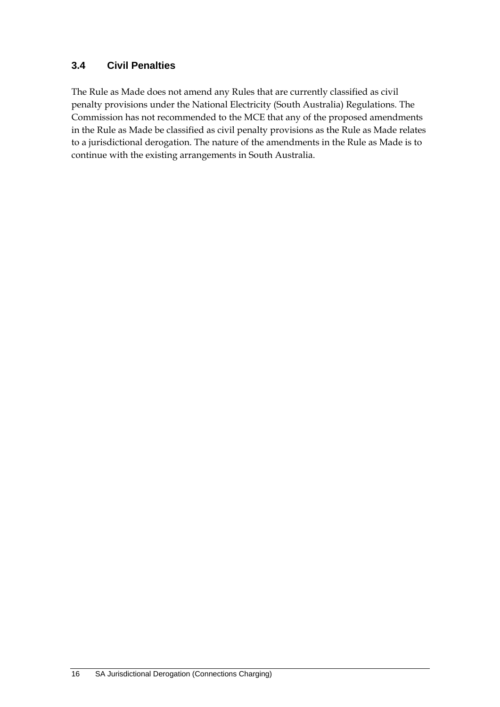#### **3.4 Civil Penalties**

The Rule as Made does not amend any Rules that are currently classified as civil penalty provisions under the National Electricity (South Australia) Regulations. The Commission has not recommended to the MCE that any of the proposed amendments in the Rule as Made be classified as civil penalty provisions as the Rule as Made relates to a jurisdictional derogation. The nature of the amendments in the Rule as Made is to continue with the existing arrangements in South Australia.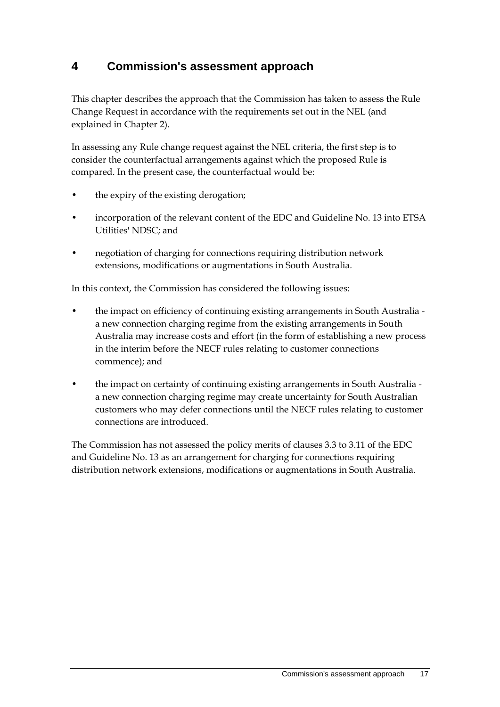## **4 Commission's assessment approach**

This chapter describes the approach that the Commission has taken to assess the Rule Change Request in accordance with the requirements set out in the NEL (and explained in Chapter 2).

In assessing any Rule change request against the NEL criteria, the first step is to consider the counterfactual arrangements against which the proposed Rule is compared. In the present case, the counterfactual would be:

- the expiry of the existing derogation;
- incorporation of the relevant content of the EDC and Guideline No. 13 into ETSA Utilities' NDSC; and
- negotiation of charging for connections requiring distribution network extensions, modifications or augmentations in South Australia.

In this context, the Commission has considered the following issues:

- the impact on efficiency of continuing existing arrangements in South Australia a new connection charging regime from the existing arrangements in South Australia may increase costs and effort (in the form of establishing a new process in the interim before the NECF rules relating to customer connections commence); and
- the impact on certainty of continuing existing arrangements in South Australia a new connection charging regime may create uncertainty for South Australian customers who may defer connections until the NECF rules relating to customer connections are introduced.

The Commission has not assessed the policy merits of clauses 3.3 to 3.11 of the EDC and Guideline No. 13 as an arrangement for charging for connections requiring distribution network extensions, modifications or augmentations in South Australia.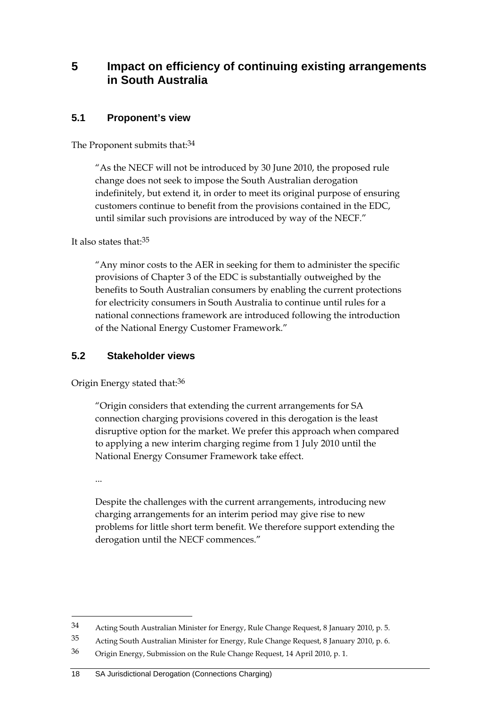### **5 Impact on efficiency of continuing existing arrangements in South Australia**

#### **5.1 Proponent's view**

The Proponent submits that: 34

"As the NECF will not be introduced by 30 June 2010, the proposed rule change does not seek to impose the South Australian derogation indefinitely, but extend it, in order to meet its original purpose of ensuring customers continue to benefit from the provisions contained in the EDC, until similar such provisions are introduced by way of the NECF."

It also states that:35

"Any minor costs to the AER in seeking for them to administer the specific provisions of Chapter 3 of the EDC is substantially outweighed by the benefits to South Australian consumers by enabling the current protections for electricity consumers in South Australia to continue until rules for a national connections framework are introduced following the introduction of the National Energy Customer Framework."

#### **5.2 Stakeholder views**

Origin Energy stated that:36

"Origin considers that extending the current arrangements for SA connection charging provisions covered in this derogation is the least disruptive option for the market. We prefer this approach when compared to applying a new interim charging regime from 1 July 2010 until the National Energy Consumer Framework take effect.

...

<u>.</u>

Despite the challenges with the current arrangements, introducing new charging arrangements for an interim period may give rise to new problems for little short term benefit. We therefore support extending the derogation until the NECF commences."

<sup>34</sup> Acting South Australian Minister for Energy, Rule Change Request, 8 January 2010, p. 5.

<sup>35</sup> Acting South Australian Minister for Energy, Rule Change Request, 8 January 2010, p. 6.

<sup>36</sup> Origin Energy, Submission on the Rule Change Request, 14 April 2010, p. 1.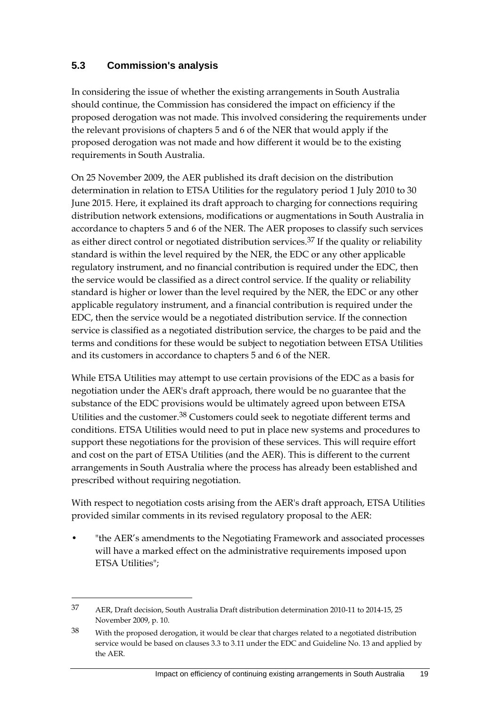#### **5.3 Commission's analysis**

In considering the issue of whether the existing arrangements in South Australia should continue, the Commission has considered the impact on efficiency if the proposed derogation was not made. This involved considering the requirements under the relevant provisions of chapters 5 and 6 of the NER that would apply if the proposed derogation was not made and how different it would be to the existing requirements in South Australia.

On 25 November 2009, the AER published its draft decision on the distribution determination in relation to ETSA Utilities for the regulatory period 1 July 2010 to 30 June 2015. Here, it explained its draft approach to charging for connections requiring distribution network extensions, modifications or augmentations in South Australia in accordance to chapters 5 and 6 of the NER. The AER proposes to classify such services as either direct control or negotiated distribution services. $37$  If the quality or reliability standard is within the level required by the NER, the EDC or any other applicable regulatory instrument, and no financial contribution is required under the EDC, then the service would be classified as a direct control service. If the quality or reliability standard is higher or lower than the level required by the NER, the EDC or any other applicable regulatory instrument, and a financial contribution is required under the EDC, then the service would be a negotiated distribution service. If the connection service is classified as a negotiated distribution service, the charges to be paid and the terms and conditions for these would be subject to negotiation between ETSA Utilities and its customers in accordance to chapters 5 and 6 of the NER.

While ETSA Utilities may attempt to use certain provisions of the EDC as a basis for negotiation under the AER's draft approach, there would be no guarantee that the substance of the EDC provisions would be ultimately agreed upon between ETSA Utilities and the customer.38 Customers could seek to negotiate different terms and conditions. ETSA Utilities would need to put in place new systems and procedures to support these negotiations for the provision of these services. This will require effort and cost on the part of ETSA Utilities (and the AER). This is different to the current arrangements in South Australia where the process has already been established and prescribed without requiring negotiation.

With respect to negotiation costs arising from the AER's draft approach, ETSA Utilities provided similar comments in its revised regulatory proposal to the AER:

"the AER's amendments to the Negotiating Framework and associated processes will have a marked effect on the administrative requirements imposed upon ETSA Utilities";

<sup>37</sup> AER, Draft decision, South Australia Draft distribution determination 2010-11 to 2014-15, 25 November 2009, p. 10.

<sup>38</sup> With the proposed derogation, it would be clear that charges related to a negotiated distribution service would be based on clauses 3.3 to 3.11 under the EDC and Guideline No. 13 and applied by the AER.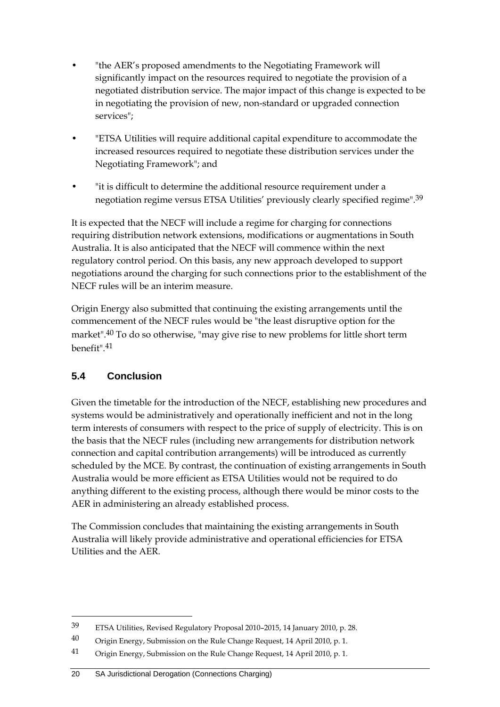- "the AER's proposed amendments to the Negotiating Framework will significantly impact on the resources required to negotiate the provision of a negotiated distribution service. The major impact of this change is expected to be in negotiating the provision of new, non-standard or upgraded connection services";
- "ETSA Utilities will require additional capital expenditure to accommodate the increased resources required to negotiate these distribution services under the Negotiating Framework"; and
- "it is difficult to determine the additional resource requirement under a negotiation regime versus ETSA Utilities' previously clearly specified regime".39

It is expected that the NECF will include a regime for charging for connections requiring distribution network extensions, modifications or augmentations in South Australia. It is also anticipated that the NECF will commence within the next regulatory control period. On this basis, any new approach developed to support negotiations around the charging for such connections prior to the establishment of the NECF rules will be an interim measure.

Origin Energy also submitted that continuing the existing arrangements until the commencement of the NECF rules would be "the least disruptive option for the market".40 To do so otherwise, "may give rise to new problems for little short term benefit".41

### **5.4 Conclusion**

<u>.</u>

Given the timetable for the introduction of the NECF, establishing new procedures and systems would be administratively and operationally inefficient and not in the long term interests of consumers with respect to the price of supply of electricity. This is on the basis that the NECF rules (including new arrangements for distribution network connection and capital contribution arrangements) will be introduced as currently scheduled by the MCE. By contrast, the continuation of existing arrangements in South Australia would be more efficient as ETSA Utilities would not be required to do anything different to the existing process, although there would be minor costs to the AER in administering an already established process.

The Commission concludes that maintaining the existing arrangements in South Australia will likely provide administrative and operational efficiencies for ETSA Utilities and the AER.

<sup>39</sup> ETSA Utilities, Revised Regulatory Proposal 2010–2015, 14 January 2010, p. 28.

<sup>40</sup> Origin Energy, Submission on the Rule Change Request, 14 April 2010, p. 1.

<sup>41</sup> Origin Energy, Submission on the Rule Change Request, 14 April 2010, p. 1.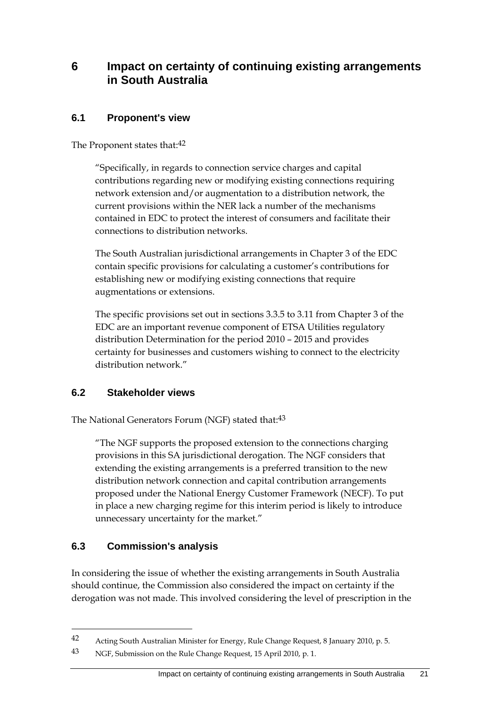#### **6 Impact on certainty of continuing existing arrangements in South Australia**

#### **6.1 Proponent's view**

The Proponent states that:<sup>42</sup>

"Specifically, in regards to connection service charges and capital contributions regarding new or modifying existing connections requiring network extension and/or augmentation to a distribution network, the current provisions within the NER lack a number of the mechanisms contained in EDC to protect the interest of consumers and facilitate their connections to distribution networks.

The South Australian jurisdictional arrangements in Chapter 3 of the EDC contain specific provisions for calculating a customer's contributions for establishing new or modifying existing connections that require augmentations or extensions.

The specific provisions set out in sections 3.3.5 to 3.11 from Chapter 3 of the EDC are an important revenue component of ETSA Utilities regulatory distribution Determination for the period 2010 – 2015 and provides certainty for businesses and customers wishing to connect to the electricity distribution network."

#### **6.2 Stakeholder views**

The National Generators Forum (NGF) stated that:<sup>43</sup>

"The NGF supports the proposed extension to the connections charging provisions in this SA jurisdictional derogation. The NGF considers that extending the existing arrangements is a preferred transition to the new distribution network connection and capital contribution arrangements proposed under the National Energy Customer Framework (NECF). To put in place a new charging regime for this interim period is likely to introduce unnecessary uncertainty for the market."

#### **6.3 Commission's analysis**

1

In considering the issue of whether the existing arrangements in South Australia should continue, the Commission also considered the impact on certainty if the derogation was not made. This involved considering the level of prescription in the

<sup>42</sup> Acting South Australian Minister for Energy, Rule Change Request, 8 January 2010, p. 5.

<sup>43</sup> NGF, Submission on the Rule Change Request, 15 April 2010, p. 1.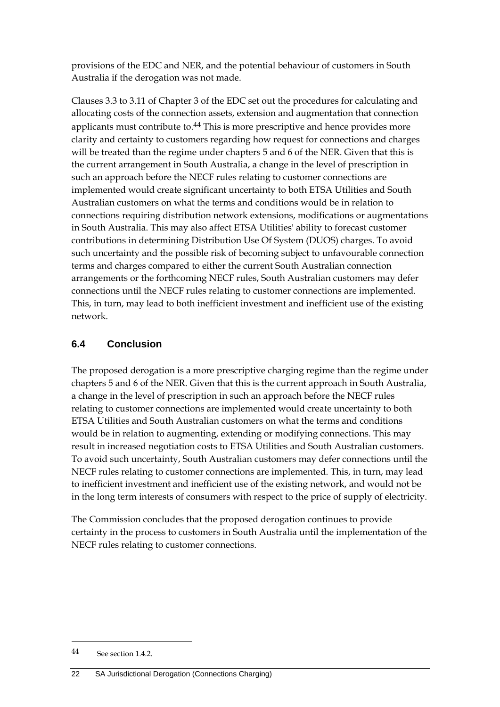provisions of the EDC and NER, and the potential behaviour of customers in South Australia if the derogation was not made.

Clauses 3.3 to 3.11 of Chapter 3 of the EDC set out the procedures for calculating and allocating costs of the connection assets, extension and augmentation that connection applicants must contribute to.<sup>44</sup> This is more prescriptive and hence provides more clarity and certainty to customers regarding how request for connections and charges will be treated than the regime under chapters 5 and 6 of the NER. Given that this is the current arrangement in South Australia, a change in the level of prescription in such an approach before the NECF rules relating to customer connections are implemented would create significant uncertainty to both ETSA Utilities and South Australian customers on what the terms and conditions would be in relation to connections requiring distribution network extensions, modifications or augmentations in South Australia. This may also affect ETSA Utilities' ability to forecast customer contributions in determining Distribution Use Of System (DUOS) charges. To avoid such uncertainty and the possible risk of becoming subject to unfavourable connection terms and charges compared to either the current South Australian connection arrangements or the forthcoming NECF rules, South Australian customers may defer connections until the NECF rules relating to customer connections are implemented. This, in turn, may lead to both inefficient investment and inefficient use of the existing network.

### **6.4 Conclusion**

The proposed derogation is a more prescriptive charging regime than the regime under chapters 5 and 6 of the NER. Given that this is the current approach in South Australia, a change in the level of prescription in such an approach before the NECF rules relating to customer connections are implemented would create uncertainty to both ETSA Utilities and South Australian customers on what the terms and conditions would be in relation to augmenting, extending or modifying connections. This may result in increased negotiation costs to ETSA Utilities and South Australian customers. To avoid such uncertainty, South Australian customers may defer connections until the NECF rules relating to customer connections are implemented. This, in turn, may lead to inefficient investment and inefficient use of the existing network, and would not be in the long term interests of consumers with respect to the price of supply of electricity.

The Commission concludes that the proposed derogation continues to provide certainty in the process to customers in South Australia until the implementation of the NECF rules relating to customer connections.

<sup>44</sup> See section 1.4.2.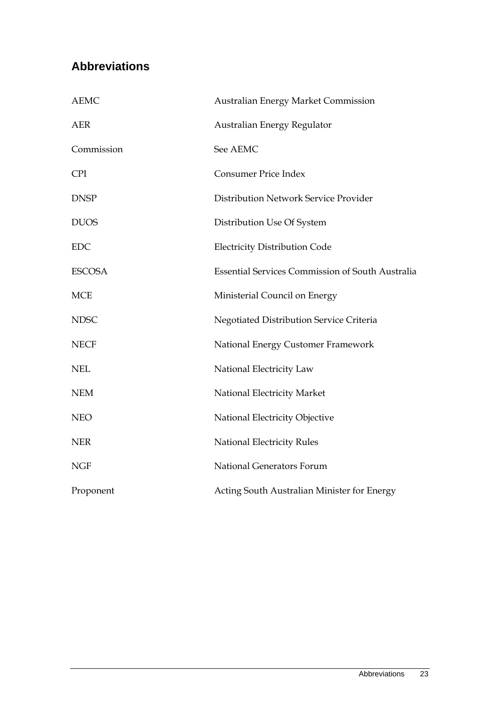## **Abbreviations**

| <b>AEMC</b>   | <b>Australian Energy Market Commission</b>              |  |  |
|---------------|---------------------------------------------------------|--|--|
| <b>AER</b>    | Australian Energy Regulator                             |  |  |
| Commission    | See AEMC                                                |  |  |
| <b>CPI</b>    | <b>Consumer Price Index</b>                             |  |  |
| <b>DNSP</b>   | Distribution Network Service Provider                   |  |  |
| <b>DUOS</b>   | Distribution Use Of System                              |  |  |
| <b>EDC</b>    | <b>Electricity Distribution Code</b>                    |  |  |
| <b>ESCOSA</b> | <b>Essential Services Commission of South Australia</b> |  |  |
| <b>MCE</b>    | Ministerial Council on Energy                           |  |  |
| <b>NDSC</b>   | Negotiated Distribution Service Criteria                |  |  |
| <b>NECF</b>   | National Energy Customer Framework                      |  |  |
| <b>NEL</b>    | National Electricity Law                                |  |  |
| <b>NEM</b>    | National Electricity Market                             |  |  |
| <b>NEO</b>    | National Electricity Objective                          |  |  |
| <b>NER</b>    | National Electricity Rules                              |  |  |
| <b>NGF</b>    | National Generators Forum                               |  |  |
| Proponent     | Acting South Australian Minister for Energy             |  |  |